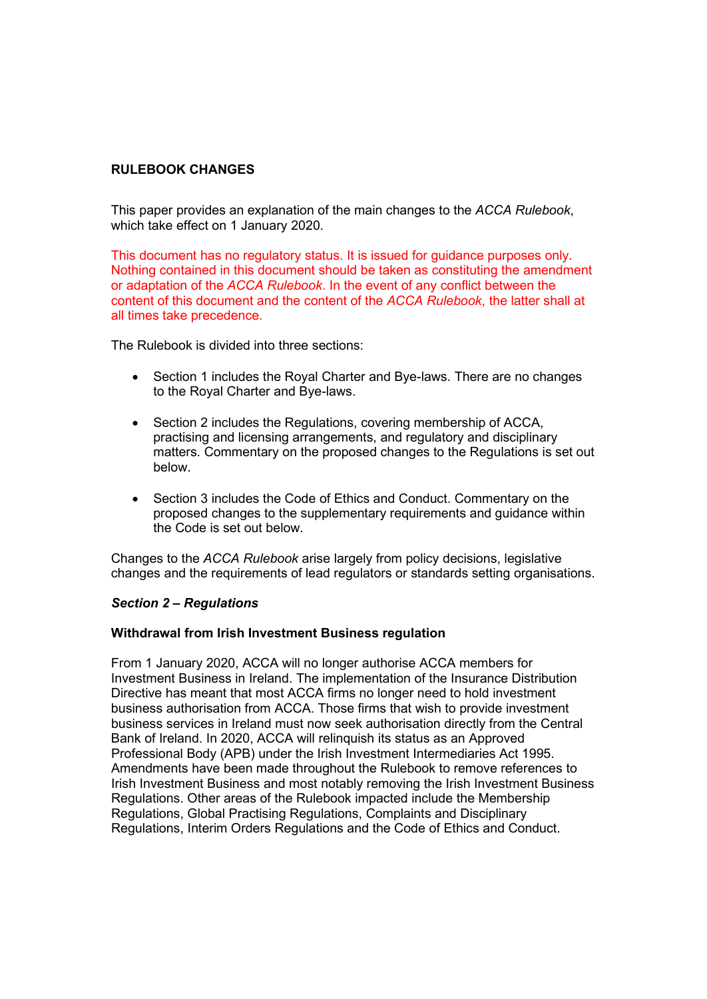# **RULEBOOK CHANGES**

This paper provides an explanation of the main changes to the *ACCA Rulebook*, which take effect on 1 January 2020.

This document has no regulatory status. It is issued for guidance purposes only. Nothing contained in this document should be taken as constituting the amendment or adaptation of the *ACCA Rulebook*. In the event of any conflict between the content of this document and the content of the *ACCA Rulebook*, the latter shall at all times take precedence.

The Rulebook is divided into three sections:

- Section 1 includes the Royal Charter and Bye-laws. There are no changes to the Royal Charter and Bye-laws.
- Section 2 includes the Regulations, covering membership of ACCA, practising and licensing arrangements, and regulatory and disciplinary matters. Commentary on the proposed changes to the Regulations is set out below.
- Section 3 includes the Code of Ethics and Conduct. Commentary on the proposed changes to the supplementary requirements and guidance within the Code is set out below.

Changes to the *ACCA Rulebook* arise largely from policy decisions, legislative changes and the requirements of lead regulators or standards setting organisations.

### *Section 2 – Regulations*

### **Withdrawal from Irish Investment Business regulation**

From 1 January 2020, ACCA will no longer authorise ACCA members for Investment Business in Ireland. The implementation of the Insurance Distribution Directive has meant that most ACCA firms no longer need to hold investment business authorisation from ACCA. Those firms that wish to provide investment business services in Ireland must now seek authorisation directly from the Central Bank of Ireland. In 2020, ACCA will relinquish its status as an Approved Professional Body (APB) under the Irish Investment Intermediaries Act 1995. Amendments have been made throughout the Rulebook to remove references to Irish Investment Business and most notably removing the Irish Investment Business Regulations. Other areas of the Rulebook impacted include the Membership Regulations, Global Practising Regulations, Complaints and Disciplinary Regulations, Interim Orders Regulations and the Code of Ethics and Conduct.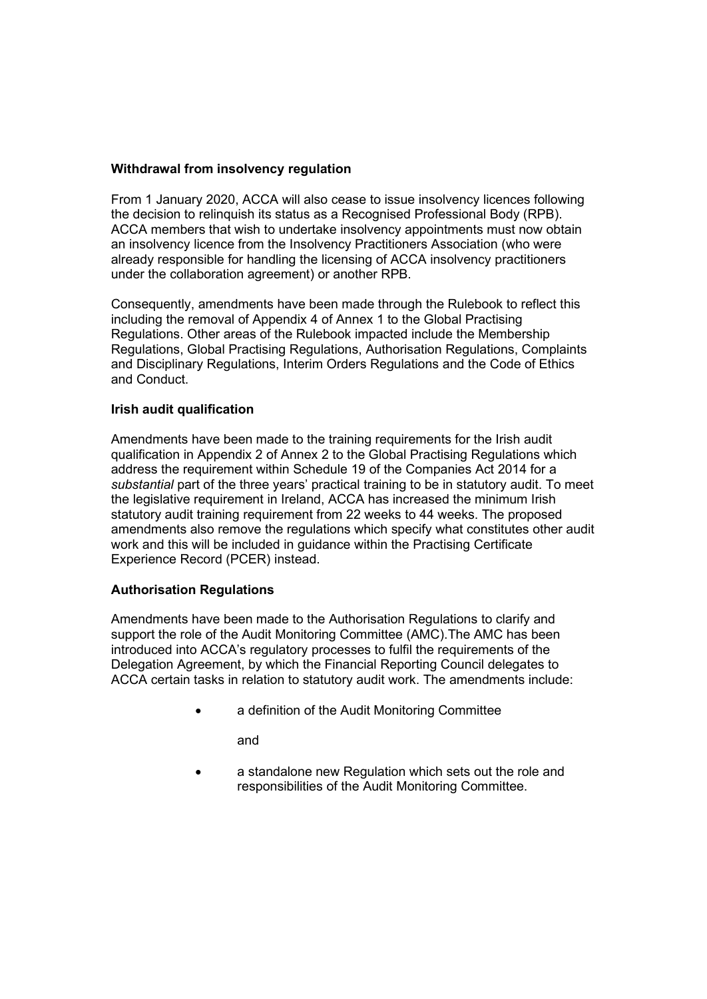# **Withdrawal from insolvency regulation**

From 1 January 2020, ACCA will also cease to issue insolvency licences following the decision to relinquish its status as a Recognised Professional Body (RPB). ACCA members that wish to undertake insolvency appointments must now obtain an insolvency licence from the Insolvency Practitioners Association (who were already responsible for handling the licensing of ACCA insolvency practitioners under the collaboration agreement) or another RPB.

Consequently, amendments have been made through the Rulebook to reflect this including the removal of Appendix 4 of Annex 1 to the Global Practising Regulations. Other areas of the Rulebook impacted include the Membership Regulations, Global Practising Regulations, Authorisation Regulations, Complaints and Disciplinary Regulations, Interim Orders Regulations and the Code of Ethics and Conduct.

# **Irish audit qualification**

Amendments have been made to the training requirements for the Irish audit qualification in Appendix 2 of Annex 2 to the Global Practising Regulations which address the requirement within Schedule 19 of the Companies Act 2014 for a *substantial* part of the three years' practical training to be in statutory audit. To meet the legislative requirement in Ireland, ACCA has increased the minimum Irish statutory audit training requirement from 22 weeks to 44 weeks. The proposed amendments also remove the regulations which specify what constitutes other audit work and this will be included in guidance within the Practising Certificate Experience Record (PCER) instead.

# **Authorisation Regulations**

Amendments have been made to the Authorisation Regulations to clarify and support the role of the Audit Monitoring Committee (AMC).The AMC has been introduced into ACCA's regulatory processes to fulfil the requirements of the Delegation Agreement, by which the Financial Reporting Council delegates to ACCA certain tasks in relation to statutory audit work. The amendments include:

a definition of the Audit Monitoring Committee

and

• a standalone new Regulation which sets out the role and responsibilities of the Audit Monitoring Committee.